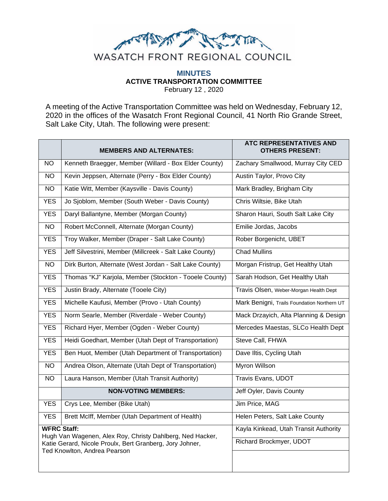

## **MINUTES ACTIVE TRANSPORTATION COMMITTEE** February 12 , 2020

A meeting of the Active Transportation Committee was held on Wednesday, February 12, 2020 in the offices of the Wasatch Front Regional Council, 41 North Rio Grande Street, Salt Lake City, Utah. The following were present:

|                                                                                                                                                                             | <b>MEMBERS AND ALTERNATES:</b>                          | <b>ATC REPRESENTATIVES AND</b><br><b>OTHERS PRESENT:</b> |
|-----------------------------------------------------------------------------------------------------------------------------------------------------------------------------|---------------------------------------------------------|----------------------------------------------------------|
| <b>NO</b>                                                                                                                                                                   | Kenneth Braegger, Member (Willard - Box Elder County)   | Zachary Smallwood, Murray City CED                       |
| <b>NO</b>                                                                                                                                                                   | Kevin Jeppsen, Alternate (Perry - Box Elder County)     | Austin Taylor, Provo City                                |
| NO.                                                                                                                                                                         | Katie Witt, Member (Kaysville - Davis County)           | Mark Bradley, Brigham City                               |
| YES.                                                                                                                                                                        | Jo Sjoblom, Member (South Weber - Davis County)         | Chris Wiltsie, Bike Utah                                 |
| <b>YES</b>                                                                                                                                                                  | Daryl Ballantyne, Member (Morgan County)                | Sharon Hauri, South Salt Lake City                       |
| N <sub>O</sub>                                                                                                                                                              | Robert McConnell, Alternate (Morgan County)             | Emilie Jordas, Jacobs                                    |
| <b>YES</b>                                                                                                                                                                  | Troy Walker, Member (Draper - Salt Lake County)         | Rober Borgenicht, UBET                                   |
| <b>YES</b>                                                                                                                                                                  | Jeff Silvestrini, Member (Millcreek - Salt Lake County) | <b>Chad Mullins</b>                                      |
| $\overline{NO}$                                                                                                                                                             | Dirk Burton, Alternate (West Jordan - Salt Lake County) | Morgan Fristrup, Get Healthy Utah                        |
| <b>YES</b>                                                                                                                                                                  | Thomas "KJ" Karjola, Member (Stockton - Tooele County)  | Sarah Hodson, Get Healthy Utah                           |
| <b>YES</b>                                                                                                                                                                  | Justin Brady, Alternate (Tooele City)                   | Travis Olsen, Weber-Morgan Health Dept                   |
| <b>YES</b>                                                                                                                                                                  | Michelle Kaufusi, Member (Provo - Utah County)          | Mark Benigni, Trails Foundation Northern UT              |
| <b>YES</b>                                                                                                                                                                  | Norm Searle, Member (Riverdale - Weber County)          | Mack Drzayich, Alta Planning & Design                    |
| <b>YES</b>                                                                                                                                                                  | Richard Hyer, Member (Ogden - Weber County)             | Mercedes Maestas, SLCo Health Dept                       |
| <b>YES</b>                                                                                                                                                                  | Heidi Goedhart, Member (Utah Dept of Transportation)    | Steve Call, FHWA                                         |
| <b>YES</b>                                                                                                                                                                  | Ben Huot, Member (Utah Department of Transportation)    | Dave Iltis, Cycling Utah                                 |
| <b>NO</b>                                                                                                                                                                   | Andrea Olson, Alternate (Utah Dept of Transportation)   | Myron Willson                                            |
| $\overline{NO}$                                                                                                                                                             | Laura Hanson, Member (Utah Transit Authority)           | Travis Evans, UDOT                                       |
|                                                                                                                                                                             | <b>NON-VOTING MEMBERS:</b>                              | Jeff Oyler, Davis County                                 |
| <b>YES</b>                                                                                                                                                                  | Crys Lee, Member (Bike Utah)                            | Jim Price, MAG                                           |
| <b>YES</b>                                                                                                                                                                  | Brett McIff, Member (Utah Department of Health)         | Helen Peters, Salt Lake County                           |
| <b>WFRC Staff:</b><br>Hugh Van Wagenen, Alex Roy, Christy Dahlberg, Ned Hacker,<br>Katie Gerard, Nicole Proulx, Bert Granberg, Jory Johner,<br>Ted Knowlton, Andrea Pearson |                                                         | Kayla Kinkead, Utah Transit Authority                    |
|                                                                                                                                                                             |                                                         | Richard Brockmyer, UDOT                                  |
|                                                                                                                                                                             |                                                         |                                                          |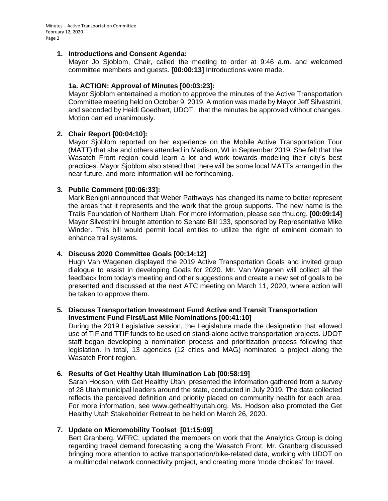## **1. Introductions and Consent Agenda:**

Mayor Jo Sjoblom, Chair, called the meeting to order at 9:46 a.m. and welcomed committee members and guests. **[00:00:13]** Introductions were made.

## **1a. ACTION: Approval of Minutes [00:03:23]:**

Mayor Sjoblom entertained a motion to approve the minutes of the Active Transportation Committee meeting held on October 9, 2019. A motion was made by Mayor Jeff Silvestrini, and seconded by Heidi Goedhart, UDOT, that the minutes be approved without changes. Motion carried unanimously.

## **2. Chair Report [00:04:10]:**

Mayor Sjoblom reported on her experience on the Mobile Active Transportation Tour (MATT) that she and others attended in Madison, WI in September 2019. She felt that the Wasatch Front region could learn a lot and work towards modeling their city's best practices. Mayor Sjoblom also stated that there will be some local MATTs arranged in the near future, and more information will be forthcoming.

## **3. Public Comment [00:06:33]:**

Mark Benigni announced that Weber Pathways has changed its name to better represent the areas that it represents and the work that the group supports. The new name is the Trails Foundation of Northern Utah. For more information, please see tfnu.org. **[00:09:14]**  Mayor Silvestrini brought attention to Senate Bill 133, sponsored by Representative Mike Winder. This bill would permit local entities to utilize the right of eminent domain to enhance trail systems.

#### **4. Discuss 2020 Committee Goals [00:14:12]**

Hugh Van Wagenen displayed the 2019 Active Transportation Goals and invited group dialogue to assist in developing Goals for 2020. Mr. Van Wagenen will collect all the feedback from today's meeting and other suggestions and create a new set of goals to be presented and discussed at the next ATC meeting on March 11, 2020, where action will be taken to approve them.

## **5. Discuss Transportation Investment Fund Active and Transit Transportation Investment Fund First/Last Mile Nominations [00:41:10]**

During the 2019 Legislative session, the Legislature made the designation that allowed use of TIF and TTIF funds to be used on stand-alone active transportation projects. UDOT staff began developing a nomination process and prioritization process following that legislation. In total, 13 agencies (12 cities and MAG) nominated a project along the Wasatch Front region.

#### **6. Results of Get Healthy Utah Illumination Lab [00:58:19]**

Sarah Hodson, with Get Healthy Utah, presented the information gathered from a survey of 28 Utah municipal leaders around the state, conducted in July 2019. The data collected reflects the perceived definition and priority placed on community health for each area. For more information, see www.gethealthyutah.org. Ms. Hodson also promoted the Get Healthy Utah Stakeholder Retreat to be held on March 26, 2020.

# **7. Update on Micromobility Toolset [01:15:09]**

Bert Granberg, WFRC, updated the members on work that the Analytics Group is doing regarding travel demand forecasting along the Wasatch Front. Mr. Granberg discussed bringing more attention to active transportation/bike-related data, working with UDOT on a multimodal network connectivity project, and creating more 'mode choices' for travel.